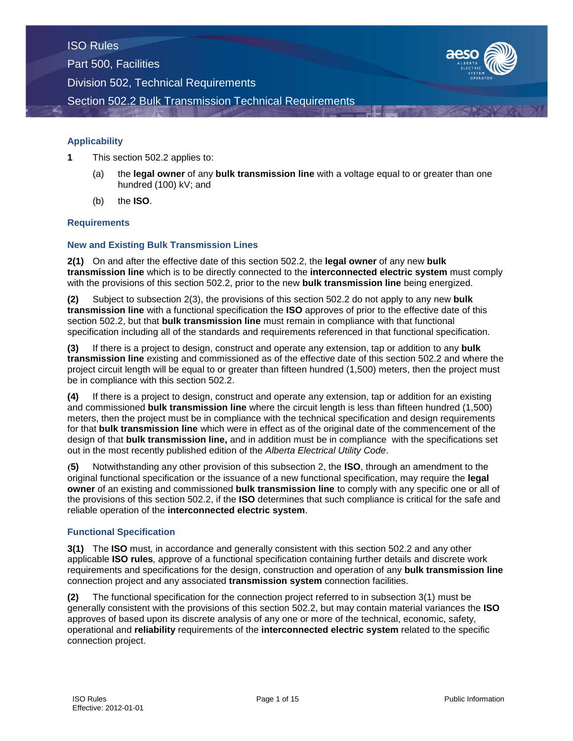

## **Applicability**

- **1** This section 502.2 applies to:
	- (a) the **legal owner** of any **bulk transmission line** with a voltage equal to or greater than one hundred (100) kV; and
	- (b) the **ISO**.

#### **Requirements**

#### **New and Existing Bulk Transmission Lines**

**2(1)** On and after the effective date of this section 502.2, the **legal owner** of any new **bulk transmission line** which is to be directly connected to the **interconnected electric system** must comply with the provisions of this section 502.2, prior to the new **bulk transmission line** being energized.

**(2)** Subject to subsection 2(3), the provisions of this section 502.2 do not apply to any new **bulk transmission line** with a functional specification the **ISO** approves of prior to the effective date of this section 502.2, but that **bulk transmission line** must remain in compliance with that functional specification including all of the standards and requirements referenced in that functional specification.

**(3)** If there is a project to design, construct and operate any extension, tap or addition to any **bulk transmission line** existing and commissioned as of the effective date of this section 502.2 and where the project circuit length will be equal to or greater than fifteen hundred (1,500) meters, then the project must be in compliance with this section 502.2.

**(4)** If there is a project to design, construct and operate any extension, tap or addition for an existing and commissioned **bulk transmission line** where the circuit length is less than fifteen hundred (1,500) meters, then the project must be in compliance with the technical specification and design requirements for that **bulk transmission line** which were in effect as of the original date of the commencement of the design of that **bulk transmission line,** and in addition must be in compliance with the specifications set out in the most recently published edition of the *Alberta Electrical Utility Code*.

**(5)** Notwithstanding any other provision of this subsection 2, the **ISO**, through an amendment to the original functional specification or the issuance of a new functional specification, may require the **legal owner** of an existing and commissioned **bulk transmission line** to comply with any specific one or all of the provisions of this section 502.2, if the **ISO** determines that such compliance is critical for the safe and reliable operation of the **interconnected electric system**.

#### **Functional Specification**

**3(1)** The **ISO** must*,* in accordance and generally consistent with this section 502.2 and any other applicable **ISO rules***,* approve of a functional specification containing further details and discrete work requirements and specifications for the design, construction and operation of any **bulk transmission line** connection project and any associated **transmission system** connection facilities.

**(2)** The functional specification for the connection project referred to in subsection 3(1) must be generally consistent with the provisions of this section 502.2, but may contain material variances the **ISO** approves of based upon its discrete analysis of any one or more of the technical, economic, safety, operational and **reliability** requirements of the **interconnected electric system** related to the specific connection project.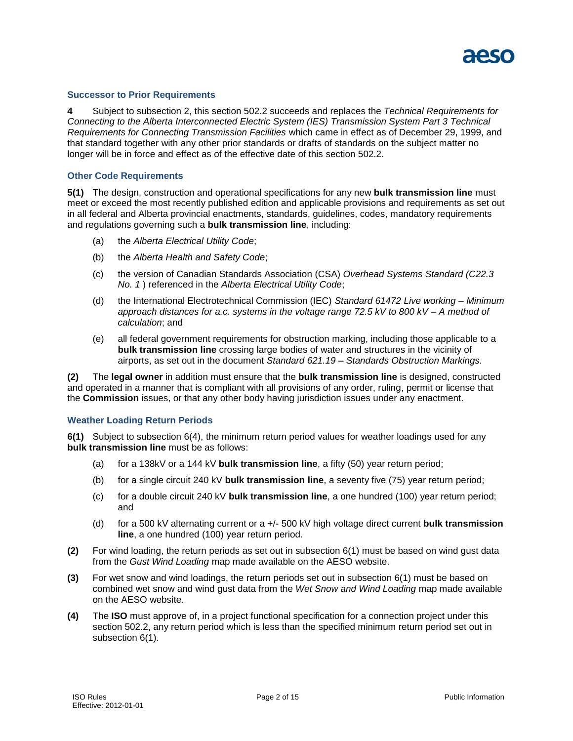

#### **Successor to Prior Requirements**

**4** Subject to subsection 2, this section 502.2 succeeds and replaces the *Technical Requirements for Connecting to the Alberta Interconnected Electric System (IES) Transmission System Part 3 Technical Requirements for Connecting Transmission Facilities* which came in effect as of December 29, 1999, and that standard together with any other prior standards or drafts of standards on the subject matter no longer will be in force and effect as of the effective date of this section 502.2.

#### **Other Code Requirements**

**5(1)** The design, construction and operational specifications for any new **bulk transmission line** must meet or exceed the most recently published edition and applicable provisions and requirements as set out in all federal and Alberta provincial enactments, standards, guidelines, codes, mandatory requirements and regulations governing such a **bulk transmission line**, including:

- (a) the *Alberta Electrical Utility Code*;
- (b) the *Alberta Health and Safety Code*;
- (c) the version of Canadian Standards Association (CSA) *Overhead Systems Standard (C22.3 No. 1* ) referenced in the *Alberta Electrical Utility Code*;
- (d) the International Electrotechnical Commission (IEC) *Standard 61472 Live working – Minimum approach distances for a.c. systems in the voltage range 72.5 kV to 800 kV – A method of calculation*; and
- (e) all federal government requirements for obstruction marking, including those applicable to a **bulk transmission line** crossing large bodies of water and structures in the vicinity of airports, as set out in the document *Standard 621.19 – Standards Obstruction Markings.*

**(2)** The **legal owner** in addition must ensure that the **bulk transmission line** is designed, constructed and operated in a manner that is compliant with all provisions of any order, ruling, permit or license that the **Commission** issues, or that any other body having jurisdiction issues under any enactment.

#### **Weather Loading Return Periods**

**6(1)** Subject to subsection 6(4), the minimum return period values for weather loadings used for any **bulk transmission line** must be as follows:

- (a) for a 138kV or a 144 kV **bulk transmission line**, a fifty (50) year return period;
- (b) for a single circuit 240 kV **bulk transmission line**, a seventy five (75) year return period;
- (c) for a double circuit 240 kV **bulk transmission line**, a one hundred (100) year return period; and
- (d) for a 500 kV alternating current or a +/- 500 kV high voltage direct current **bulk transmission line**, a one hundred (100) year return period.
- **(2)** For wind loading, the return periods as set out in subsection 6(1) must be based on wind gust data from the *Gust Wind Loading* map made available on the AESO website.
- **(3)** For wet snow and wind loadings, the return periods set out in subsection 6(1) must be based on combined wet snow and wind gust data from the *Wet Snow and Wind Loading* map made available on the AESO website.
- **(4)** The **ISO** must approve of, in a project functional specification for a connection project under this section 502.2, any return period which is less than the specified minimum return period set out in subsection 6(1).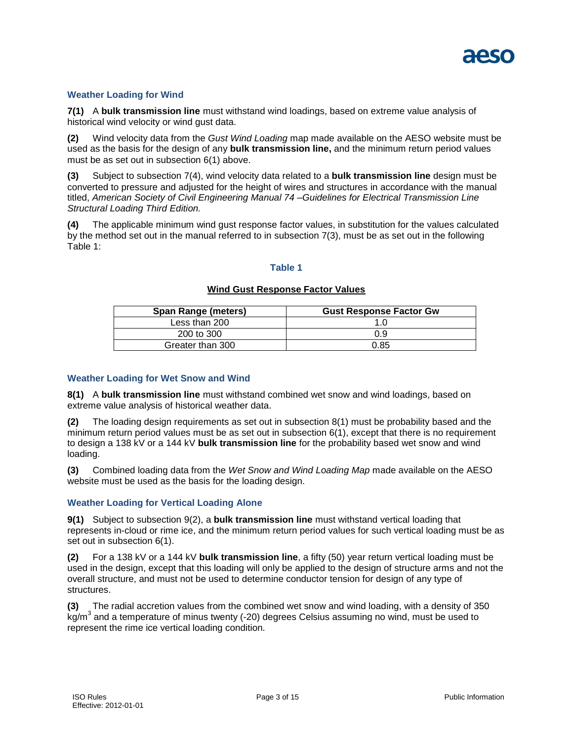

#### **Weather Loading for Wind**

**7(1)** A **bulk transmission line** must withstand wind loadings, based on extreme value analysis of historical wind velocity or wind gust data.

**(2)** Wind velocity data from the *Gust Wind Loading* map made available on the AESO website must be used as the basis for the design of any **bulk transmission line,** and the minimum return period values must be as set out in subsection 6(1) above.

**(3)** Subject to subsection 7(4), wind velocity data related to a **bulk transmission line** design must be converted to pressure and adjusted for the height of wires and structures in accordance with the manual titled, *American Society of Civil Engineering Manual 74 –Guidelines for Electrical Transmission Line Structural Loading Third Edition.*

**(4)** The applicable minimum wind gust response factor values, in substitution for the values calculated by the method set out in the manual referred to in subsection 7(3), must be as set out in the following Table 1:

## **Table 1**

#### **Wind Gust Response Factor Values**

| <b>Span Range (meters)</b> | <b>Gust Response Factor Gw</b> |
|----------------------------|--------------------------------|
| Less than 200              | 1 ∩                            |
| 200 to 300                 | 0.9                            |
| Greater than 300           | 0.85                           |

#### **Weather Loading for Wet Snow and Wind**

**8(1)** A **bulk transmission line** must withstand combined wet snow and wind loadings, based on extreme value analysis of historical weather data.

**(2)** The loading design requirements as set out in subsection 8(1) must be probability based and the minimum return period values must be as set out in subsection 6(1), except that there is no requirement to design a 138 kV or a 144 kV **bulk transmission line** for the probability based wet snow and wind loading.

**(3)** Combined loading data from the *Wet Snow and Wind Loading Map* made available on the AESO website must be used as the basis for the loading design.

#### **Weather Loading for Vertical Loading Alone**

**9(1)** Subject to subsection 9(2), a **bulk transmission line** must withstand vertical loading that represents in-cloud or rime ice, and the minimum return period values for such vertical loading must be as set out in subsection 6(1).

**(2)** For a 138 kV or a 144 kV **bulk transmission line**, a fifty (50) year return vertical loading must be used in the design, except that this loading will only be applied to the design of structure arms and not the overall structure, and must not be used to determine conductor tension for design of any type of structures.

**(3)** The radial accretion values from the combined wet snow and wind loading, with a density of 350  $\overline{\text{k}}$ g/m<sup>3</sup> and a temperature of minus twenty (-20) degrees Celsius assuming no wind, must be used to represent the rime ice vertical loading condition.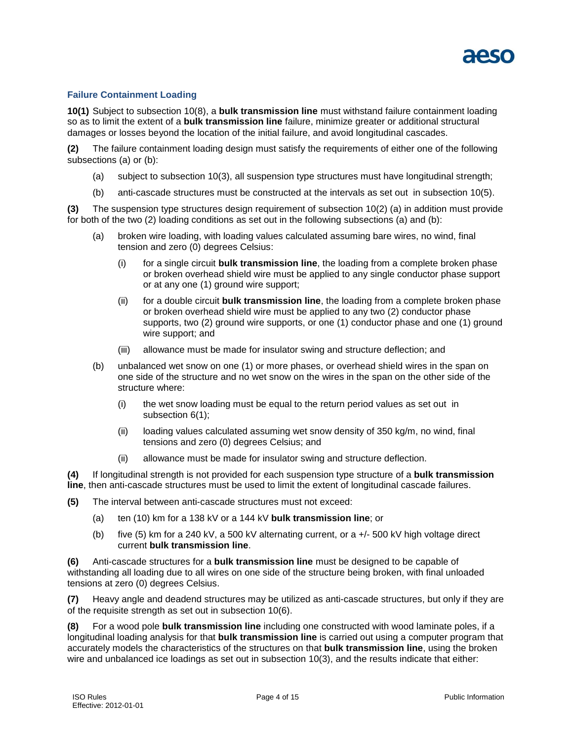

## **Failure Containment Loading**

**10(1)** Subject to subsection 10(8), a **bulk transmission line** must withstand failure containment loading so as to limit the extent of a **bulk transmission line** failure, minimize greater or additional structural damages or losses beyond the location of the initial failure, and avoid longitudinal cascades.

**(2)** The failure containment loading design must satisfy the requirements of either one of the following subsections (a) or (b):

- (a) subject to subsection 10(3), all suspension type structures must have longitudinal strength;
- (b) anti-cascade structures must be constructed at the intervals as set out in subsection 10(5).

**(3)** The suspension type structures design requirement of subsection 10(2) (a) in addition must provide for both of the two (2) loading conditions as set out in the following subsections (a) and (b):

- (a) broken wire loading, with loading values calculated assuming bare wires, no wind, final tension and zero (0) degrees Celsius:
	- (i) for a single circuit **bulk transmission line**, the loading from a complete broken phase or broken overhead shield wire must be applied to any single conductor phase support or at any one (1) ground wire support;
	- (ii) for a double circuit **bulk transmission line**, the loading from a complete broken phase or broken overhead shield wire must be applied to any two (2) conductor phase supports, two (2) ground wire supports, or one (1) conductor phase and one (1) ground wire support; and
	- (iii) allowance must be made for insulator swing and structure deflection; and
- (b) unbalanced wet snow on one (1) or more phases, or overhead shield wires in the span on one side of the structure and no wet snow on the wires in the span on the other side of the structure where:
	- (i) the wet snow loading must be equal to the return period values as set out in subsection 6(1);
	- (ii) loading values calculated assuming wet snow density of 350 kg/m, no wind, final tensions and zero (0) degrees Celsius; and
	- (ii) allowance must be made for insulator swing and structure deflection.

**(4)** If longitudinal strength is not provided for each suspension type structure of a **bulk transmission line**, then anti-cascade structures must be used to limit the extent of longitudinal cascade failures.

- **(5)** The interval between anti-cascade structures must not exceed:
	- (a) ten (10) km for a 138 kV or a 144 kV **bulk transmission line**; or
	- (b) five (5) km for a 240 kV, a 500 kV alternating current, or a +/- 500 kV high voltage direct current **bulk transmission line**.

**(6)** Anti-cascade structures for a **bulk transmission line** must be designed to be capable of withstanding all loading due to all wires on one side of the structure being broken, with final unloaded tensions at zero (0) degrees Celsius.

**(7)** Heavy angle and deadend structures may be utilized as anti-cascade structures, but only if they are of the requisite strength as set out in subsection 10(6).

**(8)** For a wood pole **bulk transmission line** including one constructed with wood laminate poles, if a longitudinal loading analysis for that **bulk transmission line** is carried out using a computer program that accurately models the characteristics of the structures on that **bulk transmission line**, using the broken wire and unbalanced ice loadings as set out in subsection 10(3), and the results indicate that either: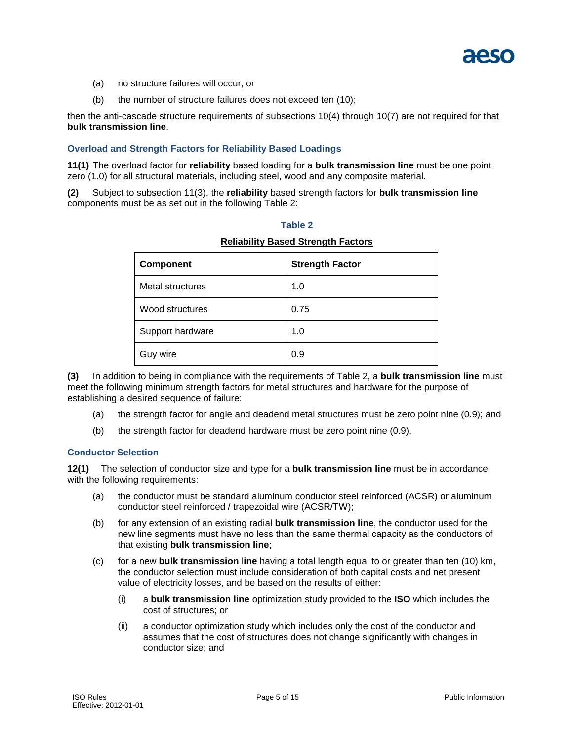

- (a) no structure failures will occur, or
- (b) the number of structure failures does not exceed ten (10);

then the anti-cascade structure requirements of subsections 10(4) through 10(7) are not required for that **bulk transmission line**.

#### **Overload and Strength Factors for Reliability Based Loadings**

**11(1)** The overload factor for **reliability** based loading for a **bulk transmission line** must be one point zero (1.0) for all structural materials, including steel, wood and any composite material.

**(2)** Subject to subsection 11(3), the **reliability** based strength factors for **bulk transmission line** components must be as set out in the following Table 2:

#### **Table 2**

# **Component Strength Factor** Metal structures 1.0 Wood structures and all 0.75 Support hardware 1.0 Guy wire and the contract of  $\sim$  0.9

## **Reliability Based Strength Factors**

**(3)** In addition to being in compliance with the requirements of Table 2, a **bulk transmission line** must meet the following minimum strength factors for metal structures and hardware for the purpose of establishing a desired sequence of failure:

- (a) the strength factor for angle and deadend metal structures must be zero point nine (0.9); and
- (b) the strength factor for deadend hardware must be zero point nine (0.9).

#### **Conductor Selection**

**12(1)** The selection of conductor size and type for a **bulk transmission line** must be in accordance with the following requirements:

- (a) the conductor must be standard aluminum conductor steel reinforced (ACSR) or aluminum conductor steel reinforced / trapezoidal wire (ACSR/TW);
- (b) for any extension of an existing radial **bulk transmission line**, the conductor used for the new line segments must have no less than the same thermal capacity as the conductors of that existing **bulk transmission line**;
- (c) for a new **bulk transmission** l**ine** having a total length equal to or greater than ten (10) km, the conductor selection must include consideration of both capital costs and net present value of electricity losses, and be based on the results of either:
	- (i) a **bulk transmission line** optimization study provided to the **ISO** which includes the cost of structures; or
	- (ii) a conductor optimization study which includes only the cost of the conductor and assumes that the cost of structures does not change significantly with changes in conductor size; and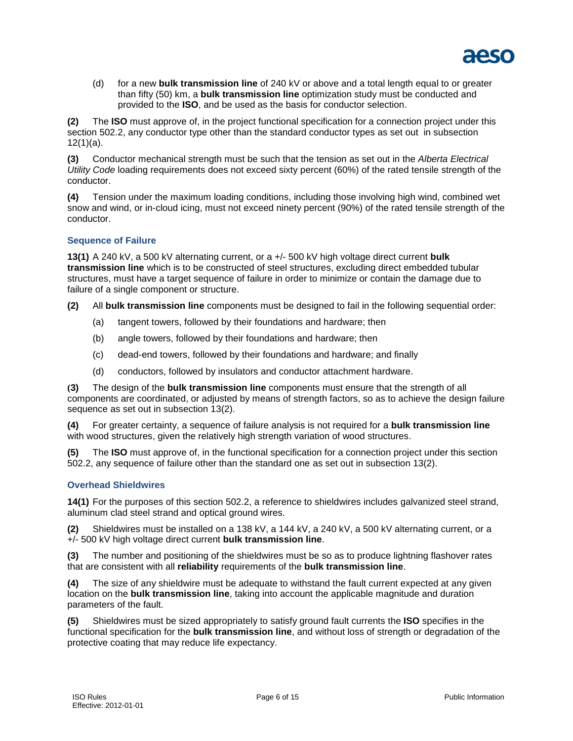

(d) for a new **bulk transmission line** of 240 kV or above and a total length equal to or greater than fifty (50) km, a **bulk transmission line** optimization study must be conducted and provided to the **ISO**, and be used as the basis for conductor selection.

**(2)** The **ISO** must approve of, in the project functional specification for a connection project under this section 502.2, any conductor type other than the standard conductor types as set out in subsection 12(1)(a).

**(3)** Conductor mechanical strength must be such that the tension as set out in the *Alberta Electrical Utility Code* loading requirements does not exceed sixty percent (60%) of the rated tensile strength of the conductor.

**(4)** Tension under the maximum loading conditions, including those involving high wind, combined wet snow and wind, or in-cloud icing, must not exceed ninety percent (90%) of the rated tensile strength of the conductor.

## **Sequence of Failure**

**13(1)** A 240 kV, a 500 kV alternating current, or a +/- 500 kV high voltage direct current **bulk transmission line** which is to be constructed of steel structures, excluding direct embedded tubular structures, must have a target sequence of failure in order to minimize or contain the damage due to failure of a single component or structure.

**(2)** All **bulk transmission line** components must be designed to fail in the following sequential order:

- (a) tangent towers, followed by their foundations and hardware; then
- (b) angle towers, followed by their foundations and hardware; then
- (c) dead-end towers, followed by their foundations and hardware; and finally
- (d) conductors, followed by insulators and conductor attachment hardware.

**(3)** The design of the **bulk transmission line** components must ensure that the strength of all components are coordinated, or adjusted by means of strength factors, so as to achieve the design failure sequence as set out in subsection 13(2).

**(4)** For greater certainty, a sequence of failure analysis is not required for a **bulk transmission line** with wood structures, given the relatively high strength variation of wood structures.

**(5)** The **ISO** must approve of, in the functional specification for a connection project under this section 502.2, any sequence of failure other than the standard one as set out in subsection 13(2).

## **Overhead Shieldwires**

**14(1)** For the purposes of this section 502.2, a reference to shieldwires includes galvanized steel strand, aluminum clad steel strand and optical ground wires.

**(2)** Shieldwires must be installed on a 138 kV, a 144 kV, a 240 kV, a 500 kV alternating current, or a +/- 500 kV high voltage direct current **bulk transmission line**.

**(3)** The number and positioning of the shieldwires must be so as to produce lightning flashover rates that are consistent with all **reliability** requirements of the **bulk transmission line**.

**(4)** The size of any shieldwire must be adequate to withstand the fault current expected at any given location on the **bulk transmission line**, taking into account the applicable magnitude and duration parameters of the fault.

**(5)** Shieldwires must be sized appropriately to satisfy ground fault currents the **ISO** specifies in the functional specification for the **bulk transmission line**, and without loss of strength or degradation of the protective coating that may reduce life expectancy.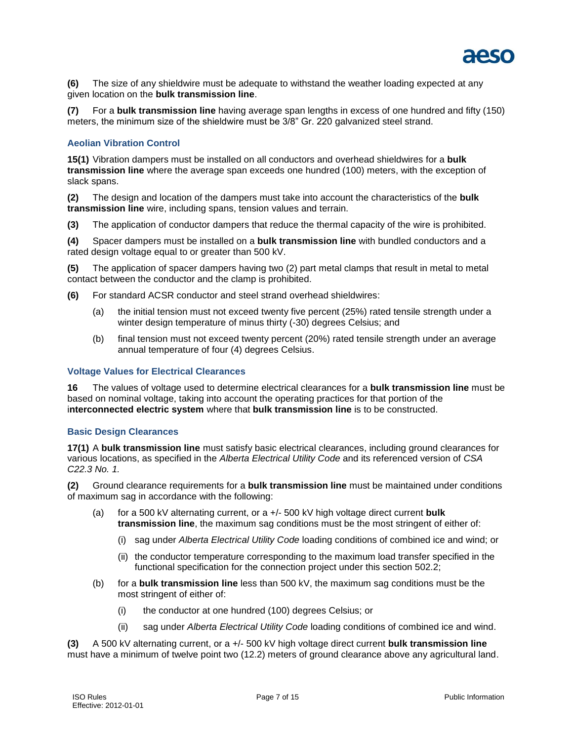

**(6)** The size of any shieldwire must be adequate to withstand the weather loading expected at any given location on the **bulk transmission line**.

**(7)** For a **bulk transmission line** having average span lengths in excess of one hundred and fifty (150) meters, the minimum size of the shieldwire must be 3/8" Gr. 220 galvanized steel strand.

#### **Aeolian Vibration Control**

**15(1)** Vibration dampers must be installed on all conductors and overhead shieldwires for a **bulk transmission line** where the average span exceeds one hundred (100) meters, with the exception of slack spans.

**(2)** The design and location of the dampers must take into account the characteristics of the **bulk transmission line** wire, including spans, tension values and terrain.

**(3)** The application of conductor dampers that reduce the thermal capacity of the wire is prohibited.

**(4)** Spacer dampers must be installed on a **bulk transmission line** with bundled conductors and a rated design voltage equal to or greater than 500 kV.

**(5)** The application of spacer dampers having two (2) part metal clamps that result in metal to metal contact between the conductor and the clamp is prohibited.

- **(6)** For standard ACSR conductor and steel strand overhead shieldwires:
	- (a) the initial tension must not exceed twenty five percent (25%) rated tensile strength under a winter design temperature of minus thirty (-30) degrees Celsius; and
	- (b) final tension must not exceed twenty percent (20%) rated tensile strength under an average annual temperature of four (4) degrees Celsius.

#### **Voltage Values for Electrical Clearances**

**16** The values of voltage used to determine electrical clearances for a **bulk transmission line** must be based on nominal voltage, taking into account the operating practices for that portion of the i**nterconnected electric system** where that **bulk transmission line** is to be constructed.

#### **Basic Design Clearances**

**17(1)** A **bulk transmission line** must satisfy basic electrical clearances, including ground clearances for various locations, as specified in the *Alberta Electrical Utility Code* and its referenced version of *CSA C22.3 No. 1.*

**(2)** Ground clearance requirements for a **bulk transmission line** must be maintained under conditions of maximum sag in accordance with the following:

- (a) for a 500 kV alternating current, or a +/- 500 kV high voltage direct current **bulk transmission line**, the maximum sag conditions must be the most stringent of either of:
	- (i) sag under *Alberta Electrical Utility Code* loading conditions of combined ice and wind; or
	- (ii) the conductor temperature corresponding to the maximum load transfer specified in the functional specification for the connection project under this section 502.2;
- (b) for a **bulk transmission line** less than 500 kV, the maximum sag conditions must be the most stringent of either of:
	- (i) the conductor at one hundred (100) degrees Celsius; or
	- (ii) sag under *Alberta Electrical Utility Code* loading conditions of combined ice and wind.

**(3)** A 500 kV alternating current, or a +/- 500 kV high voltage direct current **bulk transmission line** must have a minimum of twelve point two (12.2) meters of ground clearance above any agricultural land.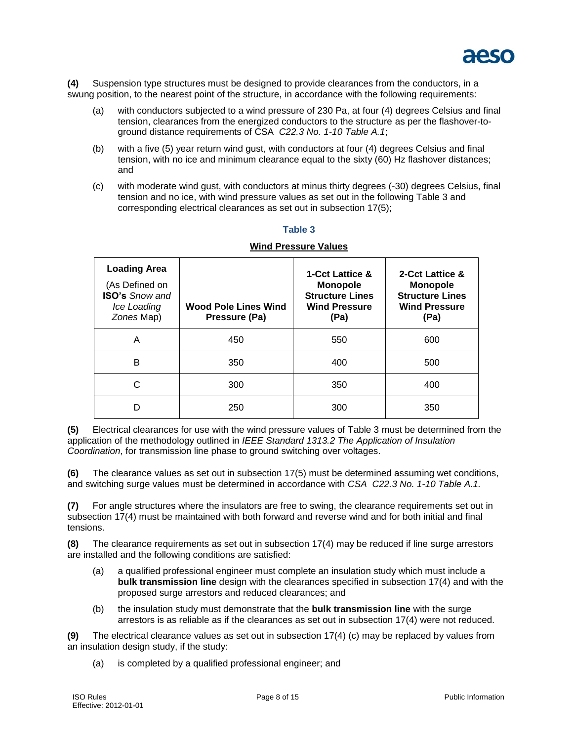

**(4)** Suspension type structures must be designed to provide clearances from the conductors, in a swung position, to the nearest point of the structure, in accordance with the following requirements:

- (a) with conductors subjected to a wind pressure of 230 Pa, at four (4) degrees Celsius and final tension, clearances from the energized conductors to the structure as per the flashover-toground distance requirements of CSA *C22.3 No. 1-10 Table A.1*;
- (b) with a five (5) year return wind gust, with conductors at four (4) degrees Celsius and final tension, with no ice and minimum clearance equal to the sixty (60) Hz flashover distances; and
- (c) with moderate wind gust, with conductors at minus thirty degrees (-30) degrees Celsius, final tension and no ice, with wind pressure values as set out in the following Table 3 and corresponding electrical clearances as set out in subsection 17(5);

| <b>Loading Area</b><br>(As Defined on<br><b>ISO's Snow and</b><br>Ice Loading<br>Zones Map) | <b>Wood Pole Lines Wind</b><br>Pressure (Pa) | <b>1-Cct Lattice &amp;</b><br><b>Monopole</b><br><b>Structure Lines</b><br><b>Wind Pressure</b><br>(Pa) | 2-Cct Lattice &<br><b>Monopole</b><br><b>Structure Lines</b><br><b>Wind Pressure</b><br>(Pa) |
|---------------------------------------------------------------------------------------------|----------------------------------------------|---------------------------------------------------------------------------------------------------------|----------------------------------------------------------------------------------------------|
| A                                                                                           | 450                                          | 550                                                                                                     | 600                                                                                          |
| B                                                                                           | 350                                          | 400                                                                                                     | 500                                                                                          |
| С                                                                                           | 300                                          | 350                                                                                                     | 400                                                                                          |
| n                                                                                           | 250                                          | 300                                                                                                     | 350                                                                                          |

# **Table 3 Wind Pressure Values**

**(5)** Electrical clearances for use with the wind pressure values of Table 3 must be determined from the application of the methodology outlined in *IEEE Standard 1313.2 The Application of Insulation Coordination*, for transmission line phase to ground switching over voltages.

**(6)** The clearance values as set out in subsection 17(5) must be determined assuming wet conditions, and switching surge values must be determined in accordance with *CSA C22.3 No. 1-10 Table A.1.*

**(7)** For angle structures where the insulators are free to swing, the clearance requirements set out in subsection 17(4) must be maintained with both forward and reverse wind and for both initial and final tensions.

**(8)** The clearance requirements as set out in subsection 17(4) may be reduced if line surge arrestors are installed and the following conditions are satisfied:

- (a) a qualified professional engineer must complete an insulation study which must include a **bulk transmission line** design with the clearances specified in subsection 17(4) and with the proposed surge arrestors and reduced clearances; and
- (b) the insulation study must demonstrate that the **bulk transmission line** with the surge arrestors is as reliable as if the clearances as set out in subsection 17(4) were not reduced.

**(9)** The electrical clearance values as set out in subsection 17(4) (c) may be replaced by values from an insulation design study, if the study:

(a) is completed by a qualified professional engineer; and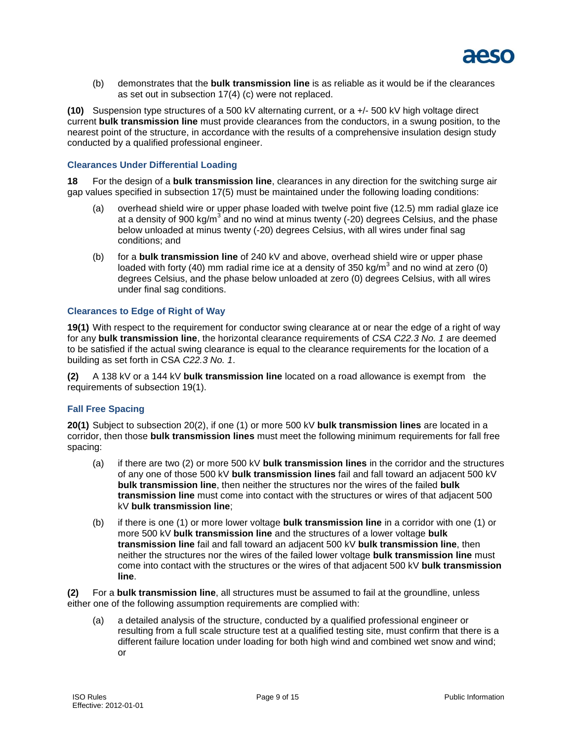

(b) demonstrates that the **bulk transmission line** is as reliable as it would be if the clearances as set out in subsection 17(4) (c) were not replaced.

**(10)** Suspension type structures of a 500 kV alternating current, or a +/- 500 kV high voltage direct current **bulk transmission line** must provide clearances from the conductors, in a swung position, to the nearest point of the structure, in accordance with the results of a comprehensive insulation design study conducted by a qualified professional engineer.

#### **Clearances Under Differential Loading**

**18** For the design of a **bulk transmission line**, clearances in any direction for the switching surge air gap values specified in subsection 17(5) must be maintained under the following loading conditions:

- (a) overhead shield wire or upper phase loaded with twelve point five (12.5) mm radial glaze ice at a density of 900 kg/m<sup>3</sup> and no wind at minus twenty (-20) degrees Celsius, and the phase below unloaded at minus twenty (-20) degrees Celsius, with all wires under final sag conditions; and
- (b) for a **bulk transmission line** of 240 kV and above, overhead shield wire or upper phase loaded with forty (40) mm radial rime ice at a density of 350 kg/m<sup>3</sup> and no wind at zero (0) degrees Celsius, and the phase below unloaded at zero (0) degrees Celsius, with all wires under final sag conditions.

#### **Clearances to Edge of Right of Way**

**19(1)** With respect to the requirement for conductor swing clearance at or near the edge of a right of way for any **bulk transmission line**, the horizontal clearance requirements of *CSA C22.3 No. 1* are deemed to be satisfied if the actual swing clearance is equal to the clearance requirements for the location of a building as set forth in CSA *C22.3 No. 1*.

**(2)** A 138 kV or a 144 kV **bulk transmission line** located on a road allowance is exempt from the requirements of subsection 19(1).

#### **Fall Free Spacing**

**20(1)** Subject to subsection 20(2), if one (1) or more 500 kV **bulk transmission lines** are located in a corridor, then those **bulk transmission lines** must meet the following minimum requirements for fall free spacing:

- (a) if there are two (2) or more 500 kV **bulk transmission lines** in the corridor and the structures of any one of those 500 kV **bulk transmission lines** fail and fall toward an adjacent 500 kV **bulk transmission line**, then neither the structures nor the wires of the failed **bulk transmission line** must come into contact with the structures or wires of that adjacent 500 kV **bulk transmission line**;
- (b) if there is one (1) or more lower voltage **bulk transmission line** in a corridor with one (1) or more 500 kV **bulk transmission line** and the structures of a lower voltage **bulk transmission line** fail and fall toward an adjacent 500 kV **bulk transmission line**, then neither the structures nor the wires of the failed lower voltage **bulk transmission line** must come into contact with the structures or the wires of that adjacent 500 kV **bulk transmission line**.

**(2)** For a **bulk transmission line**, all structures must be assumed to fail at the groundline, unless either one of the following assumption requirements are complied with:

(a) a detailed analysis of the structure, conducted by a qualified professional engineer or resulting from a full scale structure test at a qualified testing site, must confirm that there is a different failure location under loading for both high wind and combined wet snow and wind; or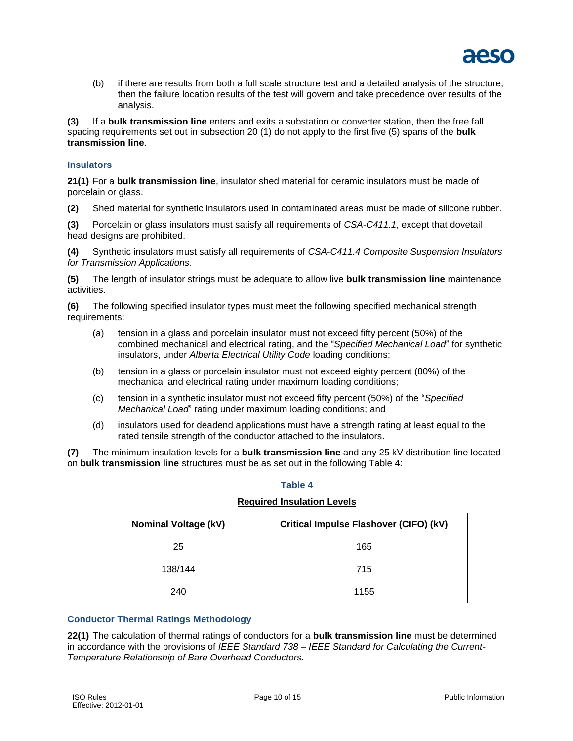

(b) if there are results from both a full scale structure test and a detailed analysis of the structure, then the failure location results of the test will govern and take precedence over results of the analysis.

**(3)** If a **bulk transmission line** enters and exits a substation or converter station, then the free fall spacing requirements set out in subsection 20 (1) do not apply to the first five (5) spans of the **bulk transmission line**.

#### **Insulators**

**21(1)** For a **bulk transmission line**, insulator shed material for ceramic insulators must be made of porcelain or glass.

**(2)** Shed material for synthetic insulators used in contaminated areas must be made of silicone rubber.

**(3)** Porcelain or glass insulators must satisfy all requirements of *CSA-C411.1*, except that dovetail head designs are prohibited.

**(4)** Synthetic insulators must satisfy all requirements of *CSA-C411.4 Composite Suspension Insulators for Transmission Applications*.

**(5)** The length of insulator strings must be adequate to allow live **bulk transmission line** maintenance activities.

**(6)** The following specified insulator types must meet the following specified mechanical strength requirements:

- (a) tension in a glass and porcelain insulator must not exceed fifty percent (50%) of the combined mechanical and electrical rating, and the "*Specified Mechanical Load*" for synthetic insulators, under *Alberta Electrical Utility Code* loading conditions;
- (b) tension in a glass or porcelain insulator must not exceed eighty percent (80%) of the mechanical and electrical rating under maximum loading conditions;
- (c) tension in a synthetic insulator must not exceed fifty percent (50%) of the "*Specified Mechanical Load*" rating under maximum loading conditions; and
- (d) insulators used for deadend applications must have a strength rating at least equal to the rated tensile strength of the conductor attached to the insulators.

**(7)** The minimum insulation levels for a **bulk transmission line** and any 25 kV distribution line located on **bulk transmission line** structures must be as set out in the following Table 4:

#### **Table 4**

#### **Required Insulation Levels**

| <b>Nominal Voltage (kV)</b> | Critical Impulse Flashover (CIFO) (kV) |
|-----------------------------|----------------------------------------|
| 25                          | 165                                    |
| 138/144                     | 715                                    |
| 240                         | 1155                                   |

#### **Conductor Thermal Ratings Methodology**

**22(1)** The calculation of thermal ratings of conductors for a **bulk transmission line** must be determined in accordance with the provisions of *IEEE Standard 738 – IEEE Standard for Calculating the Current-Temperature Relationship of Bare Overhead Conductors.*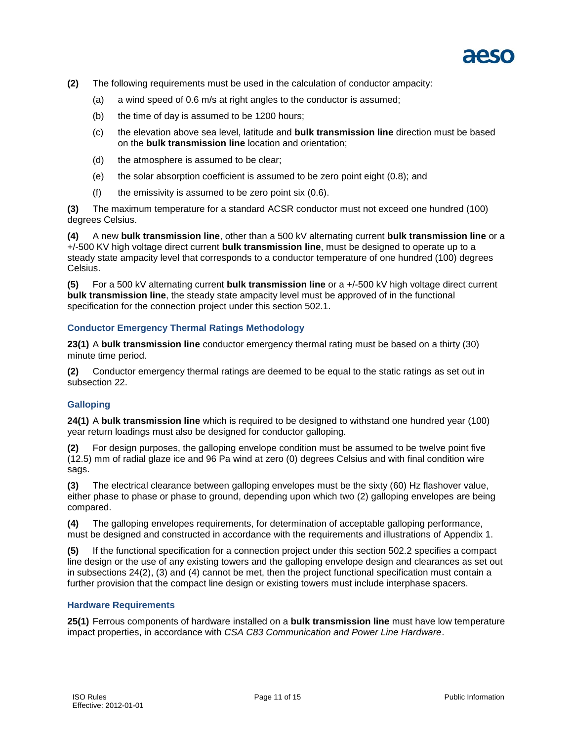

- **(2)** The following requirements must be used in the calculation of conductor ampacity:
	- (a) a wind speed of 0.6 m/s at right angles to the conductor is assumed;
	- (b) the time of day is assumed to be 1200 hours;
	- (c) the elevation above sea level, latitude and **bulk transmission line** direction must be based on the **bulk transmission line** location and orientation;
	- (d) the atmosphere is assumed to be clear;
	- (e) the solar absorption coefficient is assumed to be zero point eight (0.8); and
	- $(f)$  the emissivity is assumed to be zero point six  $(0.6)$ .

**(3)** The maximum temperature for a standard ACSR conductor must not exceed one hundred (100) degrees Celsius.

**(4)** A new **bulk transmission line**, other than a 500 kV alternating current **bulk transmission line** or a +/-500 KV high voltage direct current **bulk transmission line**, must be designed to operate up to a steady state ampacity level that corresponds to a conductor temperature of one hundred (100) degrees Celsius.

**(5)** For a 500 kV alternating current **bulk transmission line** or a +/-500 kV high voltage direct current **bulk transmission line**, the steady state ampacity level must be approved of in the functional specification for the connection project under this section 502.1.

## **Conductor Emergency Thermal Ratings Methodology**

**23(1)** A **bulk transmission line** conductor emergency thermal rating must be based on a thirty (30) minute time period.

**(2)** Conductor emergency thermal ratings are deemed to be equal to the static ratings as set out in subsection 22.

## **Galloping**

**24(1)** A **bulk transmission line** which is required to be designed to withstand one hundred year (100) year return loadings must also be designed for conductor galloping.

**(2)** For design purposes, the galloping envelope condition must be assumed to be twelve point five (12.5) mm of radial glaze ice and 96 Pa wind at zero (0) degrees Celsius and with final condition wire sags.

**(3)** The electrical clearance between galloping envelopes must be the sixty (60) Hz flashover value, either phase to phase or phase to ground, depending upon which two (2) galloping envelopes are being compared.

**(4)** The galloping envelopes requirements, for determination of acceptable galloping performance, must be designed and constructed in accordance with the requirements and illustrations of Appendix 1.

**(5)** If the functional specification for a connection project under this section 502.2 specifies a compact line design or the use of any existing towers and the galloping envelope design and clearances as set out in subsections 24(2), (3) and (4) cannot be met, then the project functional specification must contain a further provision that the compact line design or existing towers must include interphase spacers.

#### **Hardware Requirements**

**25(1)** Ferrous components of hardware installed on a **bulk transmission line** must have low temperature impact properties, in accordance with *CSA C83 Communication and Power Line Hardware*.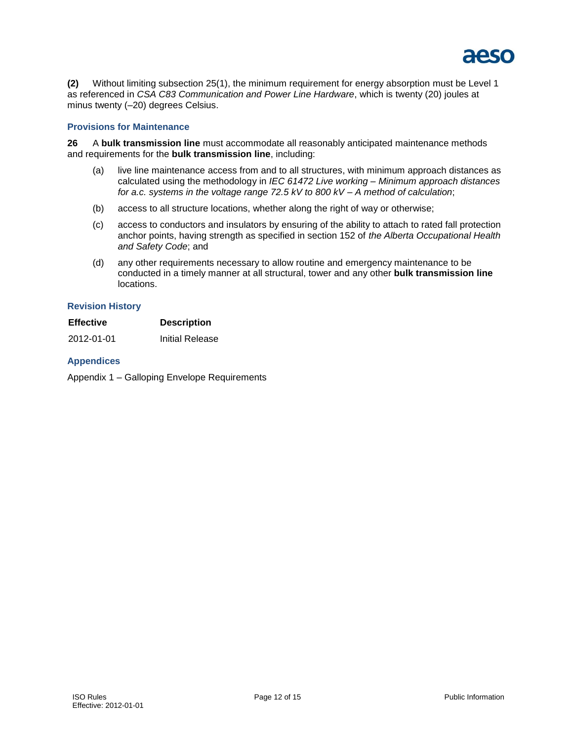

**(2)** Without limiting subsection 25(1), the minimum requirement for energy absorption must be Level 1 as referenced in *CSA C83 Communication and Power Line Hardware*, which is twenty (20) joules at minus twenty (–20) degrees Celsius.

#### **Provisions for Maintenance**

**26** A **bulk transmission line** must accommodate all reasonably anticipated maintenance methods and requirements for the **bulk transmission line**, including:

- (a) live line maintenance access from and to all structures, with minimum approach distances as calculated using the methodology in *IEC 61472 Live working – Minimum approach distances for a.c. systems in the voltage range 72.5 kV to 800 kV – A method of calculation*;
- (b) access to all structure locations, whether along the right of way or otherwise;
- (c) access to conductors and insulators by ensuring of the ability to attach to rated fall protection anchor points, having strength as specified in section 152 of *the Alberta Occupational Health and Safety Code*; and
- (d) any other requirements necessary to allow routine and emergency maintenance to be conducted in a timely manner at all structural, tower and any other **bulk transmission line** locations.

#### **Revision History**

| <b>Effective</b> | <b>Description</b> |
|------------------|--------------------|
|                  |                    |

2012-01-01 Initial Release

#### **Appendices**

Appendix 1 – Galloping Envelope Requirements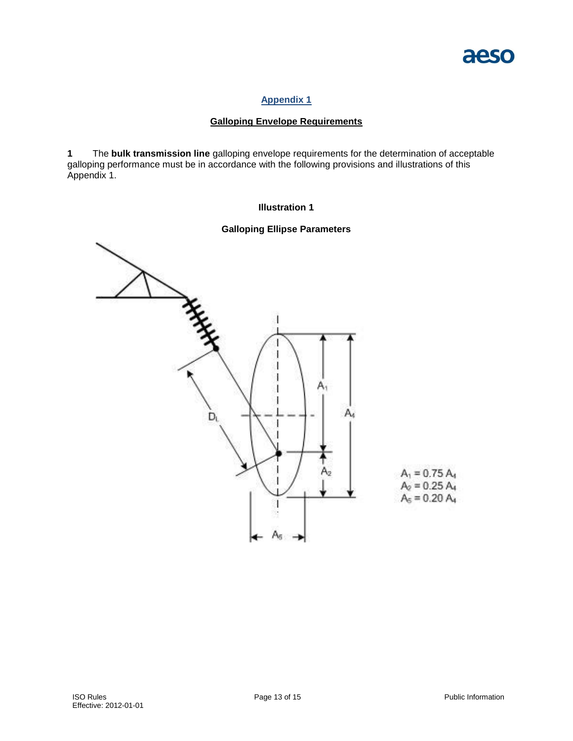

## **Appendix 1**

## **Galloping Envelope Requirements**

**1** The **bulk transmission line** galloping envelope requirements for the determination of acceptable galloping performance must be in accordance with the following provisions and illustrations of this Appendix 1.

#### **Illustration 1**

## **Galloping Ellipse Parameters**

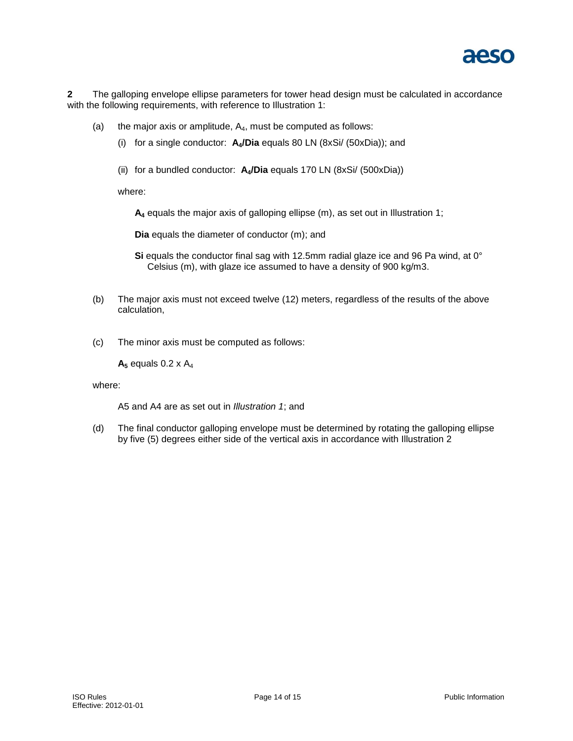

**2** The galloping envelope ellipse parameters for tower head design must be calculated in accordance with the following requirements, with reference to Illustration 1:

- (a) the major axis or amplitude,  $A_4$ , must be computed as follows:
	- (i) for a single conductor: **A4/Dia** equals 80 LN (8xSi/ (50xDia)); and
	- (ii) for a bundled conductor: **A4/Dia** equals 170 LN (8xSi/ (500xDia))

where:

**A<sup>4</sup>** equals the major axis of galloping ellipse (m), as set out in Illustration 1;

**Dia** equals the diameter of conductor (m); and

Si equals the conductor final sag with 12.5mm radial glaze ice and 96 Pa wind, at 0° Celsius (m), with glaze ice assumed to have a density of 900 kg/m3.

- (b) The major axis must not exceed twelve (12) meters, regardless of the results of the above calculation,
- (c) The minor axis must be computed as follows:

 $A_5$  equals 0.2 x  $A_4$ 

where:

A5 and A4 are as set out in *Illustration 1*; and

(d) The final conductor galloping envelope must be determined by rotating the galloping ellipse by five (5) degrees either side of the vertical axis in accordance with Illustration 2